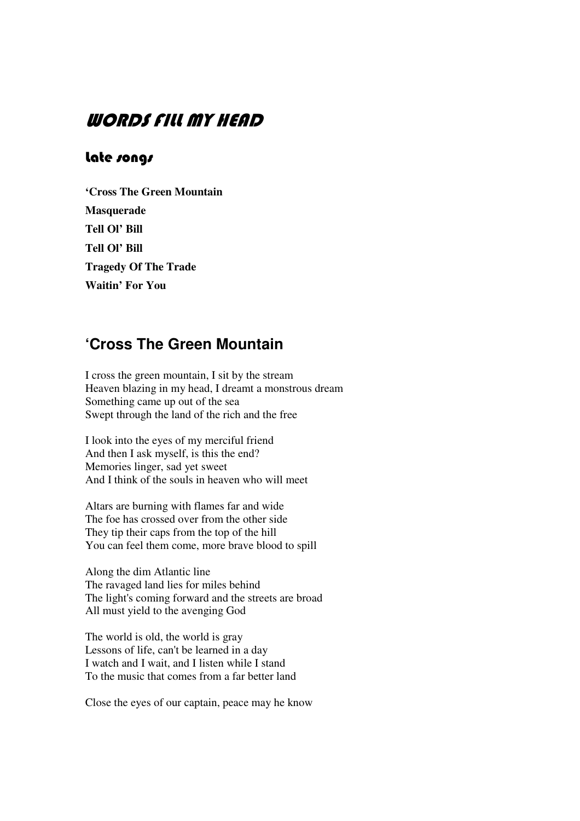# WORDS FILL MY HEAD

### Late songs

**'Cross The Green Mountain Masquerade Tell Ol' Bill Tell Ol' Bill Tragedy Of The Trade Waitin' For You**

# **'Cross The Green Mountain**

I cross the green mountain, I sit by the stream Heaven blazing in my head, I dreamt a monstrous dream Something came up out of the sea Swept through the land of the rich and the free

I look into the eyes of my merciful friend And then I ask myself, is this the end? Memories linger, sad yet sweet And I think of the souls in heaven who will meet

Altars are burning with flames far and wide The foe has crossed over from the other side They tip their caps from the top of the hill You can feel them come, more brave blood to spill

Along the dim Atlantic line The ravaged land lies for miles behind The light's coming forward and the streets are broad All must yield to the avenging God

The world is old, the world is gray Lessons of life, can't be learned in a day I watch and I wait, and I listen while I stand To the music that comes from a far better land

Close the eyes of our captain, peace may he know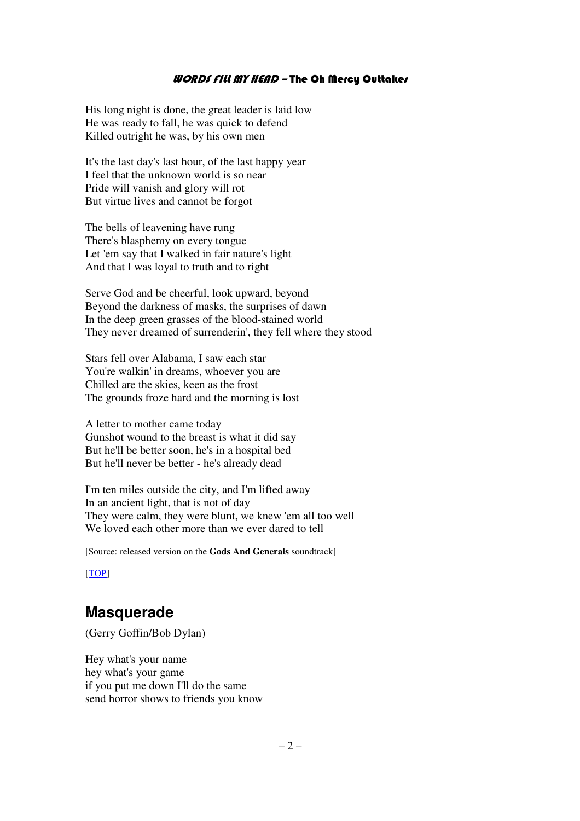His long night is done, the great leader is laid low He was ready to fall, he was quick to defend Killed outright he was, by his own men

It's the last day's last hour, of the last happy year I feel that the unknown world is so near Pride will vanish and glory will rot But virtue lives and cannot be forgot

The bells of leavening have rung There's blasphemy on every tongue Let 'em say that I walked in fair nature's light And that I was loyal to truth and to right

Serve God and be cheerful, look upward, beyond Beyond the darkness of masks, the surprises of dawn In the deep green grasses of the blood-stained world They never dreamed of surrenderin', they fell where they stood

Stars fell over Alabama, I saw each star You're walkin' in dreams, whoever you are Chilled are the skies, keen as the frost The grounds froze hard and the morning is lost

A letter to mother came today Gunshot wound to the breast is what it did say But he'll be better soon, he's in a hospital bed But he'll never be better - he's already dead

I'm ten miles outside the city, and I'm lifted away In an ancient light, that is not of day They were calm, they were blunt, we knew 'em all too well We loved each other more than we ever dared to tell

[Source: released version on the **Gods And Generals** soundtrack]

[TOP]

### **Masquerade**

(Gerry Goffin/Bob Dylan)

Hey what's your name hey what's your game if you put me down I'll do the same send horror shows to friends you know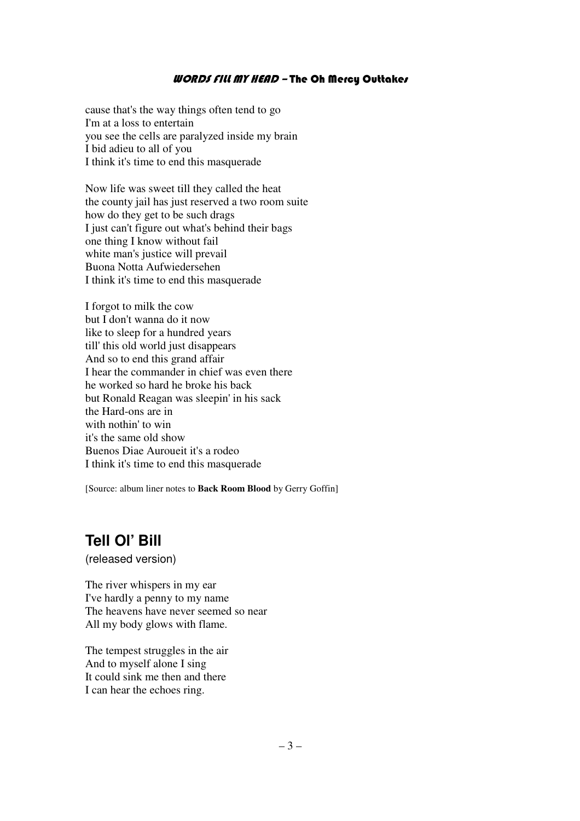cause that's the way things often tend to go I'm at a loss to entertain you see the cells are paralyzed inside my brain I bid adieu to all of you I think it's time to end this masquerade

Now life was sweet till they called the heat the county jail has just reserved a two room suite how do they get to be such drags I just can't figure out what's behind their bags one thing I know without fail white man's justice will prevail Buona Notta Aufwiedersehen I think it's time to end this masquerade

I forgot to milk the cow but I don't wanna do it now like to sleep for a hundred years till' this old world just disappears And so to end this grand affair I hear the commander in chief was even there he worked so hard he broke his back but Ronald Reagan was sleepin' in his sack the Hard-ons are in with nothin' to win it's the same old show Buenos Diae Auroueit it's a rodeo I think it's time to end this masquerade

[Source: album liner notes to **Back Room Blood** by Gerry Goffin]

### **Tell Ol' Bill**

(released version)

The river whispers in my ear I've hardly a penny to my name The heavens have never seemed so near All my body glows with flame.

The tempest struggles in the air And to myself alone I sing It could sink me then and there I can hear the echoes ring.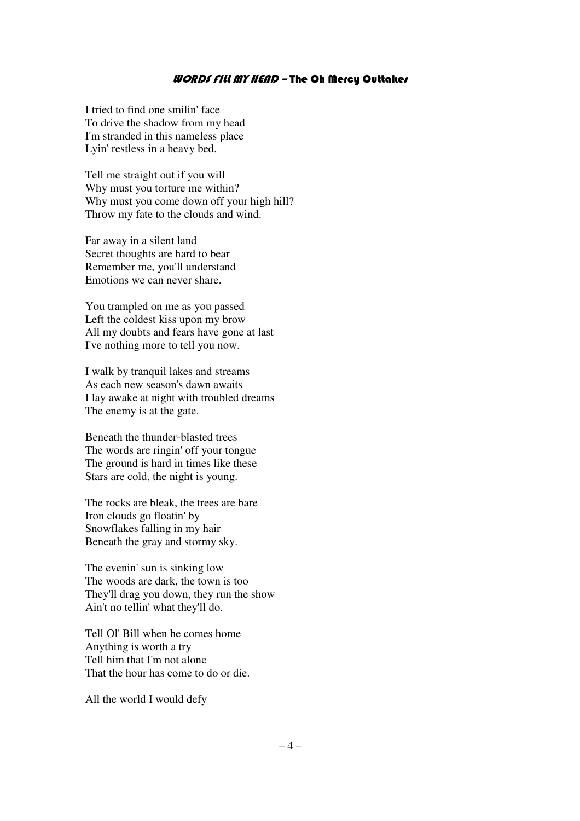I tried to find one smilin' face To drive the shadow from my head I'm stranded in this nameless place Lyin' restless in a heavy bed.

Tell me straight out if you will Why must you torture me within? Why must you come down off your high hill? Throw my fate to the clouds and wind.

Far away in a silent land Secret thoughts are hard to bear Remember me, you'll understand Emotions we can never share.

You trampled on me as you passed Left the coldest kiss upon my brow All my doubts and fears have gone at last I've nothing more to tell you now.

I walk by tranquil lakes and streams As each new season's dawn awaits I lay awake at night with troubled dreams The enemy is at the gate.

Beneath the thunder-blasted trees The words are ringin' off your tongue The ground is hard in times like these Stars are cold, the night is young.

The rocks are bleak, the trees are bare Iron clouds go floatin' by Snowflakes falling in my hair Beneath the gray and stormy sky.

The evenin' sun is sinking low The woods are dark, the town is too They'll drag you down, they run the show Ain't no tellin' what they'll do.

Tell Ol' Bill when he comes home Anything is worth a try Tell him that I'm not alone That the hour has come to do or die.

All the world I would defy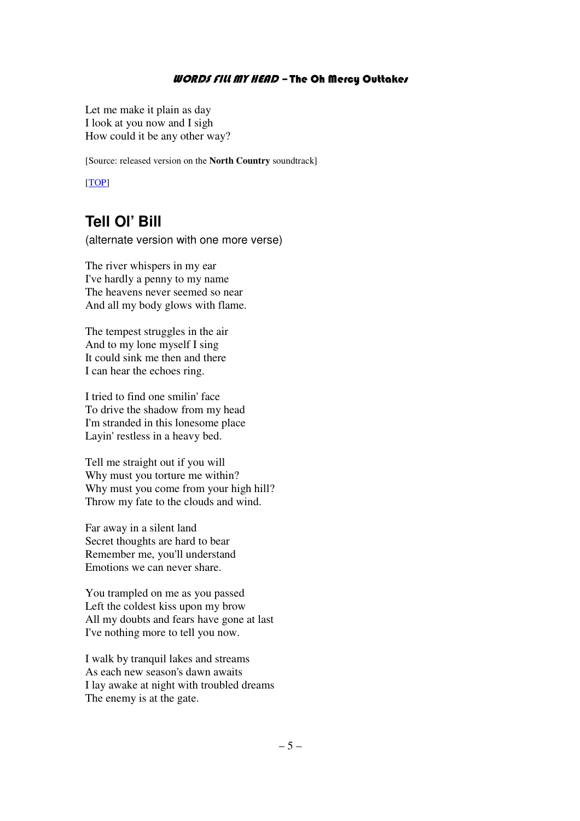Let me make it plain as day I look at you now and I sigh How could it be any other way?

[Source: released version on the **North Country** soundtrack]

[TOP]

# **Tell Ol' Bill**

(alternate version with one more verse)

The river whispers in my ear I've hardly a penny to my name The heavens never seemed so near And all my body glows with flame.

The tempest struggles in the air And to my lone myself I sing It could sink me then and there I can hear the echoes ring.

I tried to find one smilin' face To drive the shadow from my head I'm stranded in this lonesome place Layin' restless in a heavy bed.

Tell me straight out if you will Why must you torture me within? Why must you come from your high hill? Throw my fate to the clouds and wind.

Far away in a silent land Secret thoughts are hard to bear Remember me, you'll understand Emotions we can never share.

You trampled on me as you passed Left the coldest kiss upon my brow All my doubts and fears have gone at last I've nothing more to tell you now.

I walk by tranquil lakes and streams As each new season's dawn awaits I lay awake at night with troubled dreams The enemy is at the gate.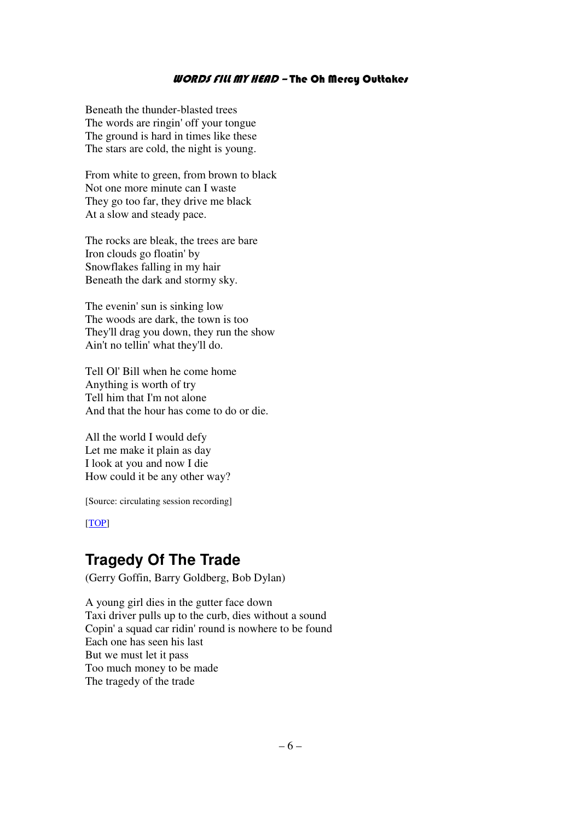Beneath the thunder-blasted trees The words are ringin' off your tongue The ground is hard in times like these The stars are cold, the night is young.

From white to green, from brown to black Not one more minute can I waste They go too far, they drive me black At a slow and steady pace.

The rocks are bleak, the trees are bare Iron clouds go floatin' by Snowflakes falling in my hair Beneath the dark and stormy sky.

The evenin' sun is sinking low The woods are dark, the town is too They'll drag you down, they run the show Ain't no tellin' what they'll do.

Tell Ol' Bill when he come home Anything is worth of try Tell him that I'm not alone And that the hour has come to do or die.

All the world I would defy Let me make it plain as day I look at you and now I die How could it be any other way?

[Source: circulating session recording]

[TOP]

# **Tragedy Of The Trade**

(Gerry Goffin, Barry Goldberg, Bob Dylan)

A young girl dies in the gutter face down Taxi driver pulls up to the curb, dies without a sound Copin' a squad car ridin' round is nowhere to be found Each one has seen his last But we must let it pass Too much money to be made The tragedy of the trade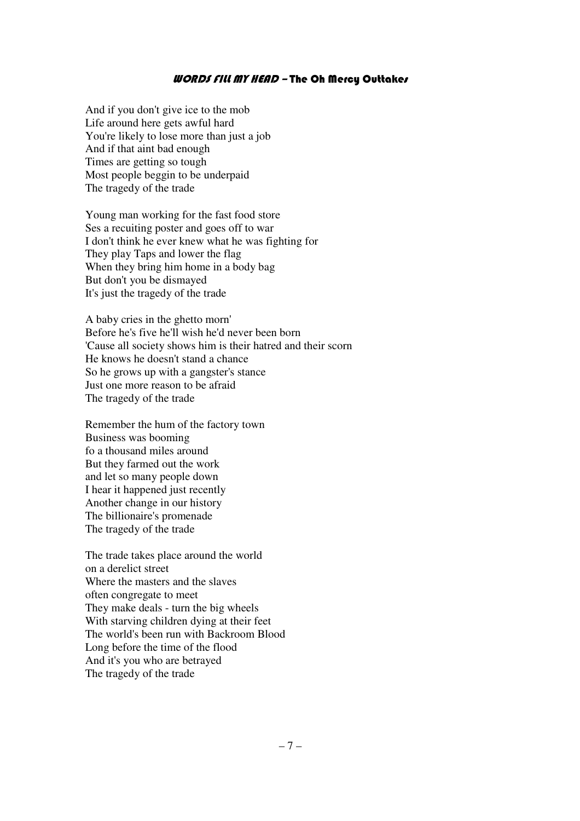And if you don't give ice to the mob Life around here gets awful hard You're likely to lose more than just a job And if that aint bad enough Times are getting so tough Most people beggin to be underpaid The tragedy of the trade

Young man working for the fast food store Ses a recuiting poster and goes off to war I don't think he ever knew what he was fighting for They play Taps and lower the flag When they bring him home in a body bag But don't you be dismayed It's just the tragedy of the trade

A baby cries in the ghetto morn' Before he's five he'll wish he'd never been born 'Cause all society shows him is their hatred and their scorn He knows he doesn't stand a chance So he grows up with a gangster's stance Just one more reason to be afraid The tragedy of the trade

Remember the hum of the factory town Business was booming fo a thousand miles around But they farmed out the work and let so many people down I hear it happened just recently Another change in our history The billionaire's promenade The tragedy of the trade

The trade takes place around the world on a derelict street Where the masters and the slaves often congregate to meet They make deals - turn the big wheels With starving children dying at their feet The world's been run with Backroom Blood Long before the time of the flood And it's you who are betrayed The tragedy of the trade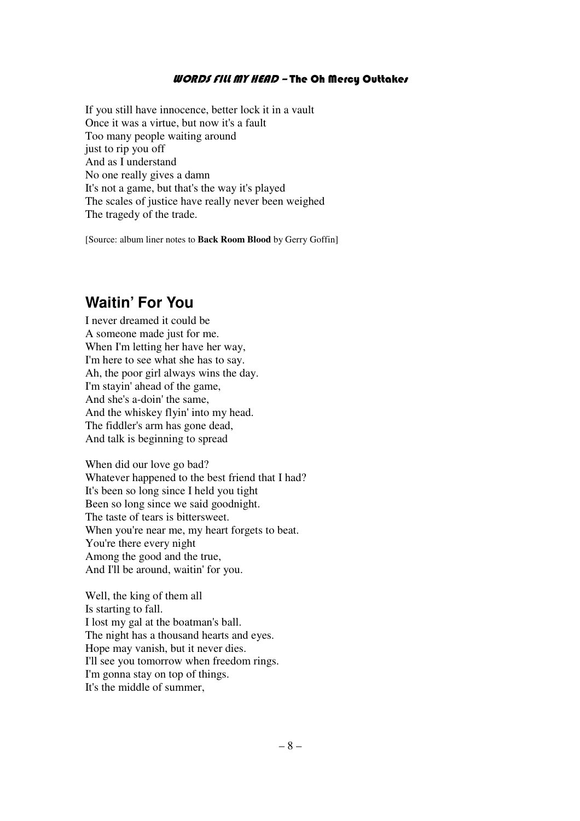If you still have innocence, better lock it in a vault Once it was a virtue, but now it's a fault Too many people waiting around just to rip you off And as I understand No one really gives a damn It's not a game, but that's the way it's played The scales of justice have really never been weighed The tragedy of the trade.

[Source: album liner notes to **Back Room Blood** by Gerry Goffin]

# **Waitin' For You**

I never dreamed it could be A someone made just for me. When I'm letting her have her way, I'm here to see what she has to say. Ah, the poor girl always wins the day. I'm stayin' ahead of the game, And she's a-doin' the same, And the whiskey flyin' into my head. The fiddler's arm has gone dead, And talk is beginning to spread

When did our love go bad? Whatever happened to the best friend that I had? It's been so long since I held you tight Been so long since we said goodnight. The taste of tears is bittersweet. When you're near me, my heart forgets to beat. You're there every night Among the good and the true, And I'll be around, waitin' for you.

Well, the king of them all Is starting to fall. I lost my gal at the boatman's ball. The night has a thousand hearts and eyes. Hope may vanish, but it never dies. I'll see you tomorrow when freedom rings. I'm gonna stay on top of things. It's the middle of summer,